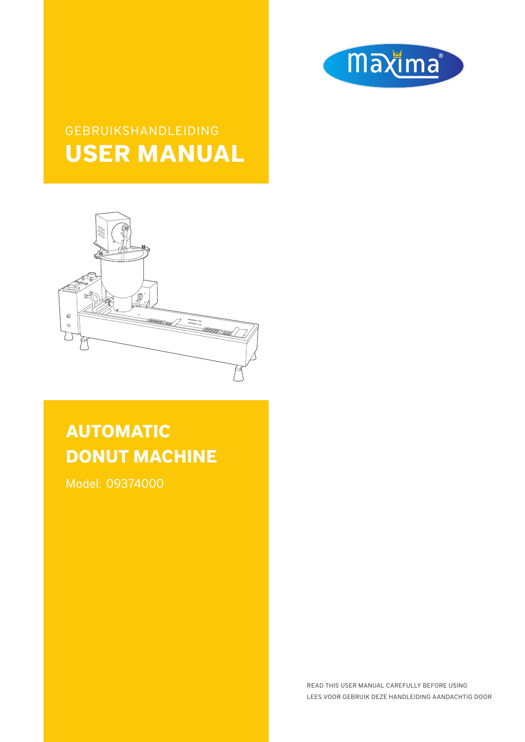

# GEBRUIKSHANDLEIDING **USER MANUAL**



# **AUTOMATIC DONUT MACHINE**

Model: 09374000

READ THIS USER MANUAL CAREFULLY BEFORE USING LEES VOOR GEBRUIK DEZE HANDLEIDING AANDACHTIG DOOR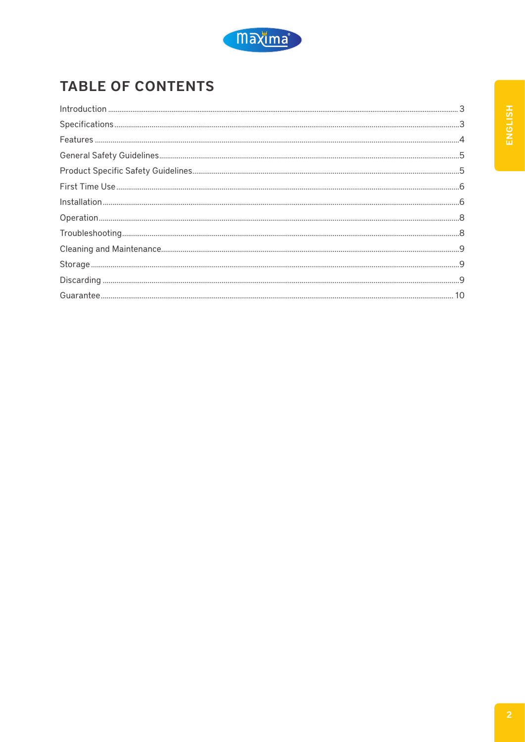

# **TABLE OF CONTENTS**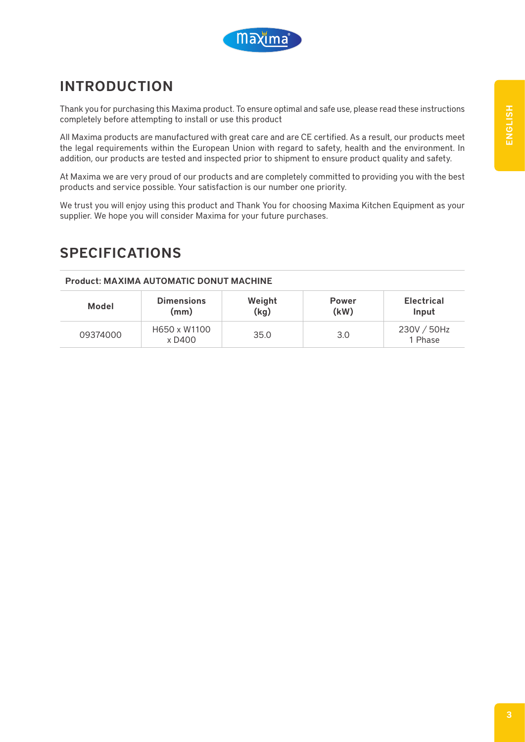

# INTRODUCTION

Thank you for purchasing this Maxima product. To ensure optimal and safe use, please read these instructions completely before attempting to install or use this product

All Maxima products are manufactured with great care and are CE certified. As a result, our products meet the legal requirements within the European Union with regard to safety, health and the environment. In addition, our products are tested and inspected prior to shipment to ensure product quality and safety.

At Maxima we are very proud of our products and are completely committed to providing you with the best products and service possible. Your satisfaction is our number one priority.

We trust you will enjoy using this product and Thank You for choosing Maxima Kitchen Equipment as your supplier. We hope you will consider Maxima for your future purchases.

### SPECIFICATIONS

#### Product: MAXIMA AUTOMATIC DONUT MACHINE

| Model    | <b>Dimensions</b>      | Weight | <b>Power</b> | <b>Electrical</b>      |
|----------|------------------------|--------|--------------|------------------------|
|          | (mm)                   | (kg)   | (kW)         | Input                  |
| 09374000 | H650 x W1100<br>x D400 | 35.0   | 3.0          | 230V / 50Hz<br>1 Phase |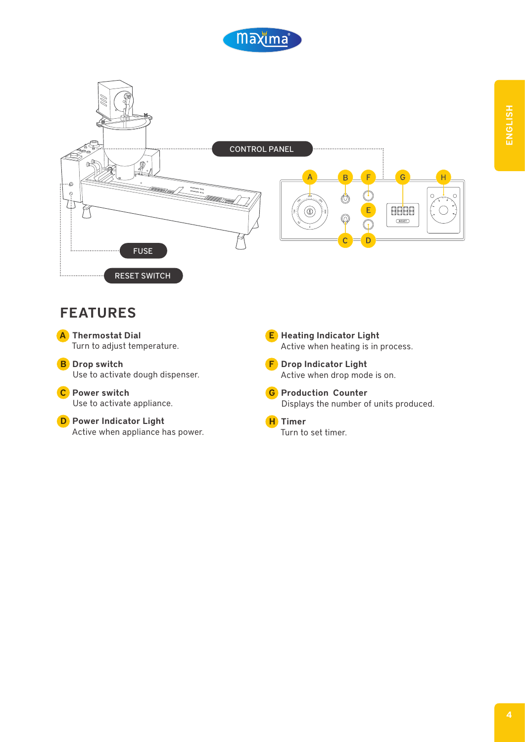



#### FEATURES



B Drop switch Use to activate dough dispenser.

C Power switch Use to activate appliance.

D Power Indicator Light Active when appliance has power. E Heating Indicator Light Active when heating is in process.

F Drop Indicator Light Active when drop mode is on.

**G** Production Counter Displays the number of units produced.

H Timer Turn to set timer.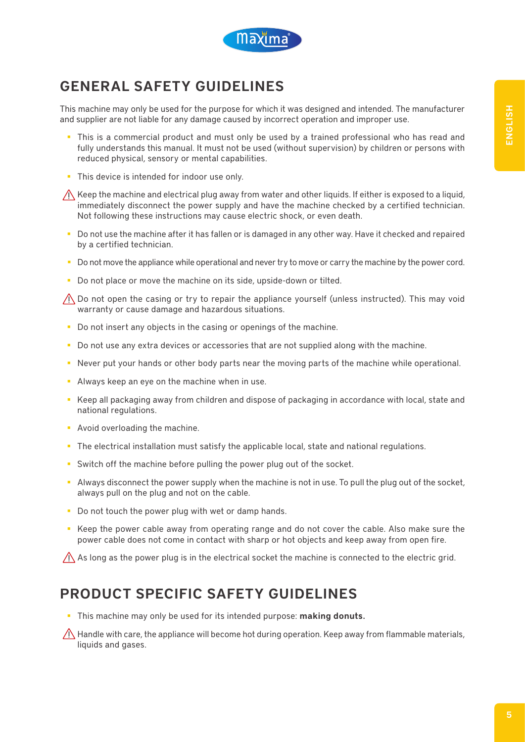

# GENERAL SAFETY GUIDELINES

This machine may only be used for the purpose for which it was designed and intended. The manufacturer and supplier are not liable for any damage caused by incorrect operation and improper use.

- **This is a commercial product and must only be used by a trained professional who has read and** fully understands this manual. It must not be used (without supervision) by children or persons with reduced physical, sensory or mental capabilities.
- This device is intended for indoor use only.

 $\bigwedge$  Keep the machine and electrical plug away from water and other liquids. If either is exposed to a liquid, immediately disconnect the power supply and have the machine checked by a certified technician. Not following these instructions may cause electric shock, or even death.

- Do not use the machine after it has fallen or is damaged in any other way. Have it checked and repaired by a certified technician.
- Do not move the appliance while operational and never try to move or carry the machine by the power cord.
- Do not place or move the machine on its side, upside-down or tilted.

 $\Lambda$  Do not open the casing or try to repair the appliance yourself (unless instructed). This may void warranty or cause damage and hazardous situations.

- Do not insert any objects in the casing or openings of the machine.
- Do not use any extra devices or accessories that are not supplied along with the machine.
- Never put your hands or other body parts near the moving parts of the machine while operational.
- Always keep an eye on the machine when in use.
- Keep all packaging away from children and dispose of packaging in accordance with local, state and national regulations.
- **Avoid overloading the machine.**
- The electrical installation must satisfy the applicable local, state and national regulations.
- Switch off the machine before pulling the power plug out of the socket.
- Always disconnect the power supply when the machine is not in use. To pull the plug out of the socket, always pull on the plug and not on the cable.
- Do not touch the power plug with wet or damp hands.
- Keep the power cable away from operating range and do not cover the cable. Also make sure the power cable does not come in contact with sharp or hot objects and keep away from open fire.

 $\bigwedge$  As long as the power plug is in the electrical socket the machine is connected to the electric grid.

#### PRODUCT SPECIFIC SAFETY GUIDELINES

This machine may only be used for its intended purpose: making donuts.

 $\bigwedge$  Handle with care, the appliance will become hot during operation. Keep away from flammable materials, liquids and gases.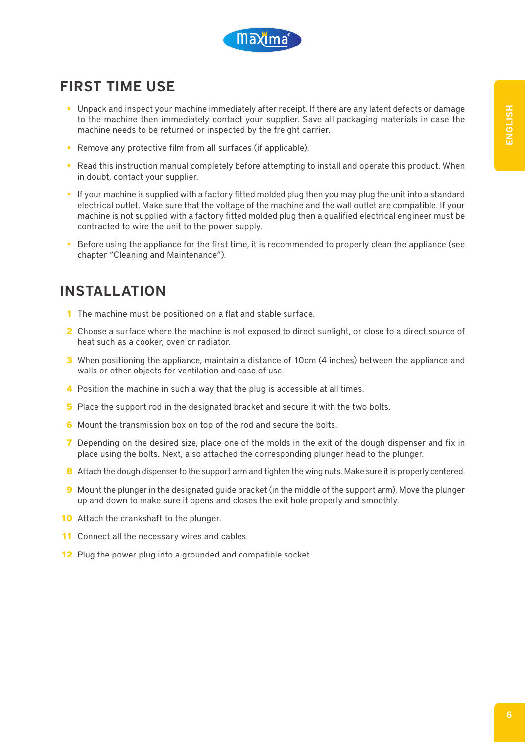

# FIRST TIME USE

- Unpack and inspect your machine immediately after receipt. If there are any latent defects or damage to the machine then immediately contact your supplier. Save all packaging materials in case the machine needs to be returned or inspected by the freight carrier.
- **Remove any protective film from all surfaces (if applicable).**
- **Read this instruction manual completely before attempting to install and operate this product. When** in doubt, contact your supplier.
- If your machine is supplied with a factory fitted molded plug then you may plug the unit into a standard electrical outlet. Make sure that the voltage of the machine and the wall outlet are compatible. If your machine is not supplied with a factory fitted molded plug then a qualified electrical engineer must be contracted to wire the unit to the power supply.
- Before using the appliance for the first time, it is recommended to properly clean the appliance (see chapter "Cleaning and Maintenance").

# INSTALLATION

- **1** The machine must be positioned on a flat and stable surface.
- **2** Choose a surface where the machine is not exposed to direct sunlight, or close to a direct source of heat such as a cooker, oven or radiator.
- **3** When positioning the appliance, maintain a distance of 10cm (4 inches) between the appliance and walls or other objects for ventilation and ease of use.
- **4** Position the machine in such a way that the plug is accessible at all times.
- **5** Place the support rod in the designated bracket and secure it with the two bolts.
- **6** Mount the transmission box on top of the rod and secure the bolts.
- **7** Depending on the desired size, place one of the molds in the exit of the dough dispenser and fix in place using the bolts. Next, also attached the corresponding plunger head to the plunger.
- **8** Attach the dough dispenser to the support arm and tighten the wing nuts. Make sure it is properly centered.
- **9** Mount the plunger in the designated guide bracket (in the middle of the support arm). Move the plunger up and down to make sure it opens and closes the exit hole properly and smoothly.
- **10** Attach the crankshaft to the plunger.
- **11** Connect all the necessary wires and cables.
- **12** Plug the power plug into a grounded and compatible socket.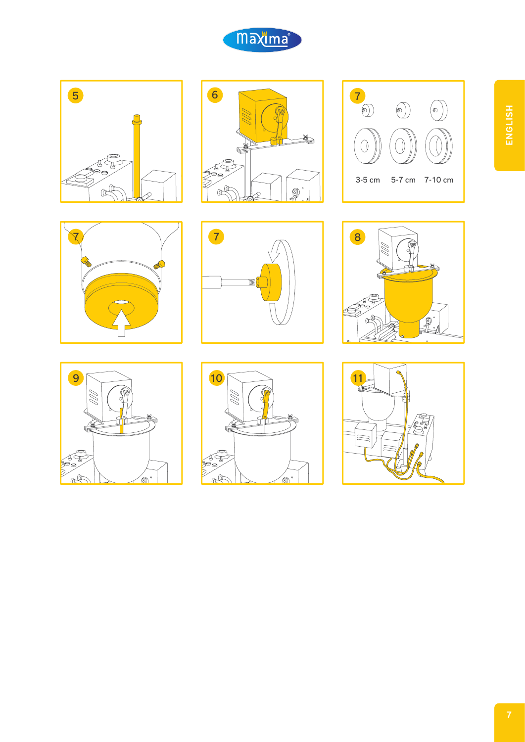

















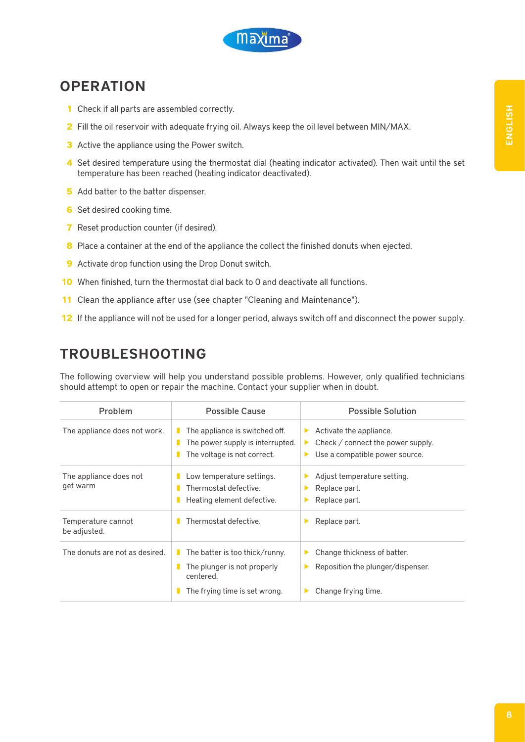

### **OPERATION**

- **1** Check if all parts are assembled correctly.
- **2** Fill the oil reservoir with adequate frying oil. Always keep the oil level between MIN/MAX.
- **3** Active the appliance using the Power switch.
- **4** Set desired temperature using the thermostat dial (heating indicator activated). Then wait until the set temperature has been reached (heating indicator deactivated).
- **5** Add batter to the batter dispenser.
- **6** Set desired cooking time.
- **7** Reset production counter (if desired).
- **8** Place a container at the end of the appliance the collect the finished donuts when ejected.
- **9** Activate drop function using the Drop Donut switch.
- **10** When finished, turn the thermostat dial back to 0 and deactivate all functions.
- **11** Clean the appliance after use (see chapter "Cleaning and Maintenance").
- **12** If the appliance will not be used for a longer period, always switch off and disconnect the power supply.

#### TROUBLESHOOTING

The following overview will help you understand possible problems. However, only qualified technicians should attempt to open or repair the machine. Contact your supplier when in doubt.

| <b>Problem</b>                     | <b>Possible Cause</b>                                                                                       | <b>Possible Solution</b>                                                                                      |
|------------------------------------|-------------------------------------------------------------------------------------------------------------|---------------------------------------------------------------------------------------------------------------|
| The appliance does not work.       | The appliance is switched off.<br>The power supply is interrupted.<br>The voltage is not correct.           | Activate the appliance.<br>▶<br>Check / connect the power supply.<br>▶<br>Use a compatible power source.<br>▶ |
| The appliance does not<br>get warm | Low temperature settings.<br>Thermostat defective.<br>Heating element defective.                            | Adjust temperature setting.<br>▶<br>Replace part.<br>▶<br>Replace part.<br>▶                                  |
| Temperature cannot<br>be adjusted. | Thermostat defective.                                                                                       | Replace part.<br>▶                                                                                            |
| The donuts are not as desired.     | The batter is too thick/runny.<br>The plunger is not properly<br>centered.<br>The frying time is set wrong. | Change thickness of batter.<br>▶<br>Reposition the plunger/dispenser.<br>▶<br>Change frying time.             |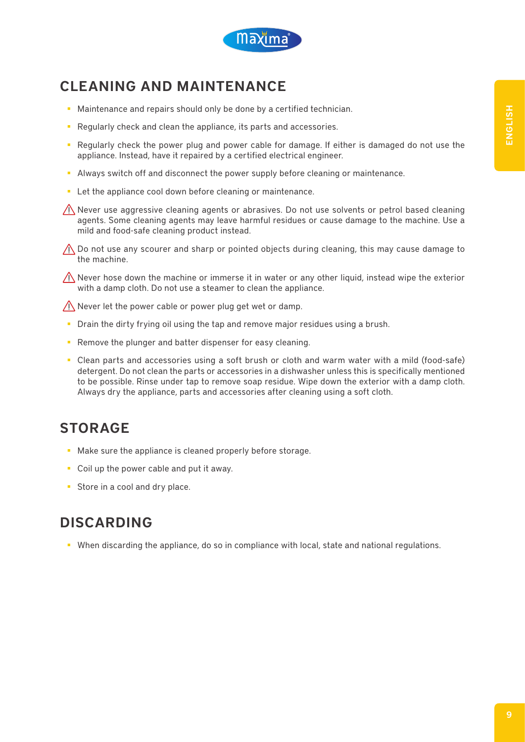

# CLEANING AND MAINTENANCE

- **Maintenance and repairs should only be done by a certified technician.**
- Regularly check and clean the appliance, its parts and accessories.
- **Regularly check the power plug and power cable for damage. If either is damaged do not use the** appliance. Instead, have it repaired by a certified electrical engineer.
- Always switch off and disconnect the power supply before cleaning or maintenance.
- **EXECT** Let the appliance cool down before cleaning or maintenance.

 $\hat{\Lambda}$  Never use aggressive cleaning agents or abrasives. Do not use solvents or petrol based cleaning agents. Some cleaning agents may leave harmful residues or cause damage to the machine. Use a mild and food-safe cleaning product instead.

 $\bigwedge$  Do not use any scourer and sharp or pointed objects during cleaning, this may cause damage to the machine.

 $\sqrt{N}$  Never hose down the machine or immerse it in water or any other liquid, instead wipe the exterior with a damp cloth. Do not use a steamer to clean the appliance.

 $\bigwedge$  Never let the power cable or power plug get wet or damp.

- Drain the dirty frying oil using the tap and remove major residues using a brush.
- **Remove the plunger and batter dispenser for easy cleaning.**
- Clean parts and accessories using a soft brush or cloth and warm water with a mild (food-safe) detergent. Do not clean the parts or accessories in a dishwasher unless this is specifically mentioned to be possible. Rinse under tap to remove soap residue. Wipe down the exterior with a damp cloth. Always dry the appliance, parts and accessories after cleaning using a soft cloth.

# **STORAGE**

- Make sure the appliance is cleaned properly before storage.
- Coil up the power cable and put it away.
- Store in a cool and dry place.

# DISCARDING

When discarding the appliance, do so in compliance with local, state and national regulations.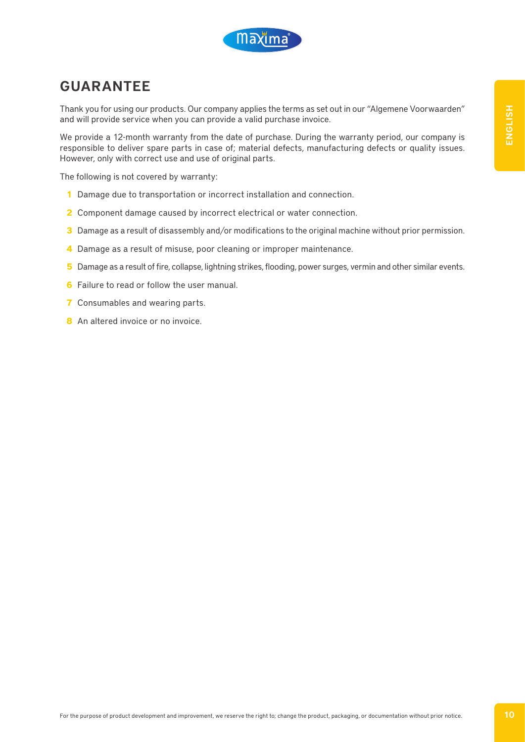

## GUARANTEE

Thank you for using our products. Our company applies the terms as set out in our "Algemene Voorwaarden" and will provide service when you can provide a valid purchase invoice.

We provide a 12-month warranty from the date of purchase. During the warranty period, our company is responsible to deliver spare parts in case of; material defects, manufacturing defects or quality issues. However, only with correct use and use of original parts.

The following is not covered by warranty:

- **1** Damage due to transportation or incorrect installation and connection.
- **2** Component damage caused by incorrect electrical or water connection.
- **3** Damage as a result of disassembly and/or modifications to the original machine without prior permission.
- **4** Damage as a result of misuse, poor cleaning or improper maintenance.
- **5** Damage as a result of fire, collapse, lightning strikes, flooding, power surges, vermin and other similar events.
- **6** Failure to read or follow the user manual.
- **7** Consumables and wearing parts.
- **8** An altered invoice or no invoice.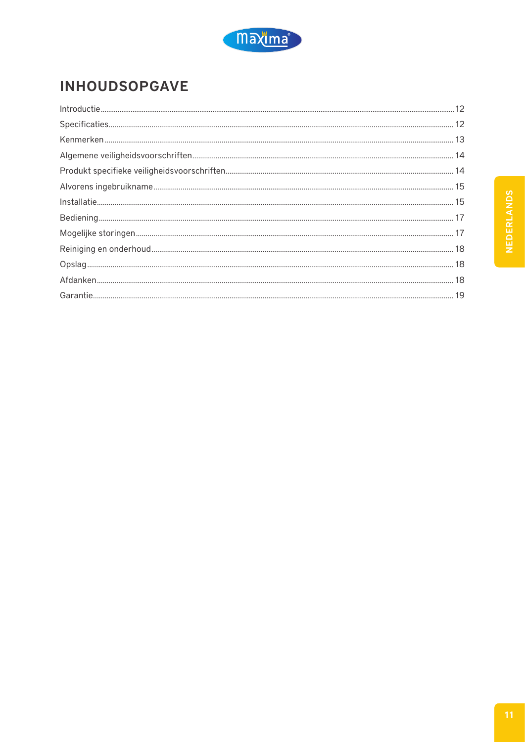

# **INHOUDSOPGAVE**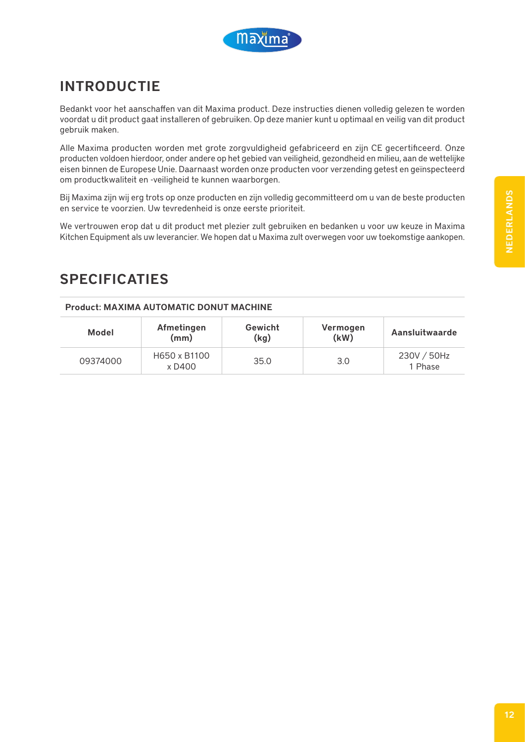

# INTRODUCTIE

Bedankt voor het aanschaffen van dit Maxima product. Deze instructies dienen volledig gelezen te worden voordat u dit product gaat installeren of gebruiken. Op deze manier kunt u optimaal en veilig van dit product gebruik maken.

Alle Maxima producten worden met grote zorgvuldigheid gefabriceerd en zijn CE gecertificeerd. Onze producten voldoen hierdoor, onder andere op het gebied van veiligheid, gezondheid en milieu, aan de wettelijke eisen binnen de Europese Unie. Daarnaast worden onze producten voor verzending getest en geïnspecteerd om productkwaliteit en -veiligheid te kunnen waarborgen.

Bij Maxima zijn wij erg trots op onze producten en zijn volledig gecommitteerd om u van de beste producten en service te voorzien. Uw tevredenheid is onze eerste prioriteit.

We vertrouwen erop dat u dit product met plezier zult gebruiken en bedanken u voor uw keuze in Maxima Kitchen Equipment als uw leverancier. We hopen dat u Maxima zult overwegen voor uw toekomstige aankopen.

### SPECIFICATIES

#### Product: MAXIMA AUTOMATIC DONUT MACHINE

| Model    | Afmetingen<br>(mm)     | Gewicht<br>(kg) | Vermogen<br>(kW) | <b>Aansluitwaarde</b>  |
|----------|------------------------|-----------------|------------------|------------------------|
| 09374000 | H650 x B1100<br>x D400 | 35.0            | 3.0              | 230V / 50Hz<br>1 Phase |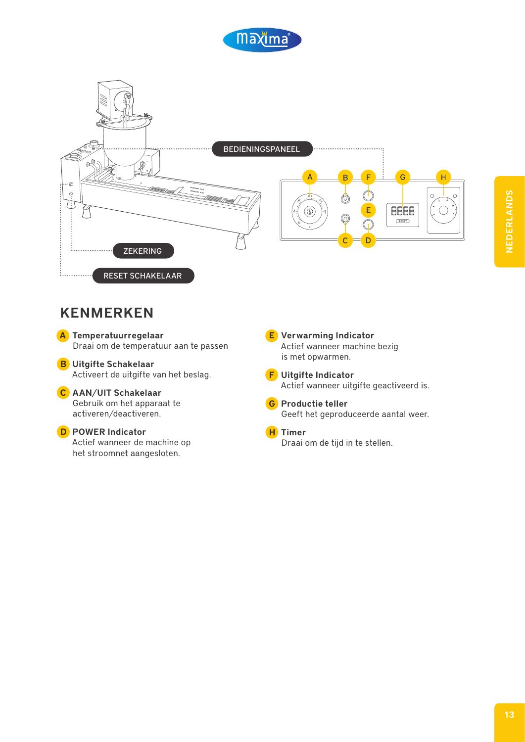



#### KENMERKEN

A Temperatuurregelaar Draai om de temperatuur aan te passen

B Uitgifte Schakelaar Activeert de uitgifte van het beslag.

#### C AAN/UIT Schakelaar

Gebruik om het apparaat te activeren/deactiveren.

#### D POWER Indicator

Actief wanneer de machine op het stroomnet aangesloten.

E Verwarming Indicator Actief wanneer machine bezig is met opwarmen.

F Uitgifte Indicator Actief wanneer uitgifte geactiveerd is.

G Productie teller Geeft het geproduceerde aantal weer.

H Timer Draai om de tijd in te stellen.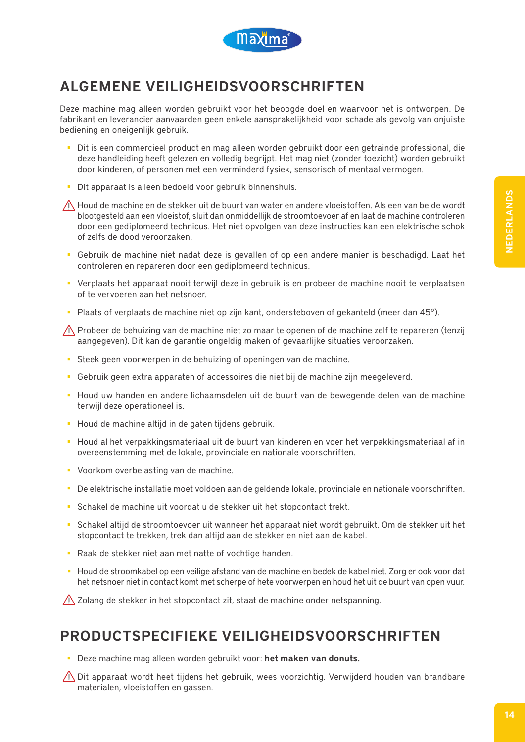

# ALGEMENE VEILIGHEIDSVOORSCHRIFTEN

Deze machine mag alleen worden gebruikt voor het beoogde doel en waarvoor het is ontworpen. De fabrikant en leverancier aanvaarden geen enkele aansprakelijkheid voor schade als gevolg van onjuiste bediening en oneigenlijk gebruik.

- Dit is een commercieel product en mag alleen worden gebruikt door een getrainde professional, die deze handleiding heeft gelezen en volledig begrijpt. Het mag niet (zonder toezicht) worden gebruikt door kinderen, of personen met een verminderd fysiek, sensorisch of mentaal vermogen.
- Dit apparaat is alleen bedoeld voor gebruik binnenshuis.

 $\bigwedge$  Houd de machine en de stekker uit de buurt van water en andere vloeistoffen. Als een van beide wordt blootgesteld aan een vloeistof, sluit dan onmiddellijk de stroomtoevoer af en laat de machine controleren door een gediplomeerd technicus. Het niet opvolgen van deze instructies kan een elektrische schok of zelfs de dood veroorzaken.

- Gebruik de machine niet nadat deze is gevallen of op een andere manier is beschadigd. Laat het controleren en repareren door een gediplomeerd technicus.
- Verplaats het apparaat nooit terwijl deze in gebruik is en probeer de machine nooit te verplaatsen of te vervoeren aan het netsnoer.
- **Plaats of verplaats de machine niet op zijn kant, ondersteboven of gekanteld (meer dan 45°).**

Probeer de behuizing van de machine niet zo maar te openen of de machine zelf te repareren (tenzij aangegeven). Dit kan de garantie ongeldig maken of gevaarlijke situaties veroorzaken.

- Steek geen voorwerpen in de behuizing of openingen van de machine.
- Gebruik geen extra apparaten of accessoires die niet bij de machine zijn meegeleverd.
- **Houd uw handen en andere lichaamsdelen uit de buurt van de bewegende delen van de machine** terwijl deze operationeel is.
- Houd de machine altijd in de gaten tijdens gebruik.
- Houd al het verpakkingsmateriaal uit de buurt van kinderen en voer het verpakkingsmateriaal af in overeenstemming met de lokale, provinciale en nationale voorschriften.
- **Voorkom overbelasting van de machine.**
- De elektrische installatie moet voldoen aan de geldende lokale, provinciale en nationale voorschriften.
- Schakel de machine uit voordat u de stekker uit het stopcontact trekt.
- Schakel altijd de stroomtoevoer uit wanneer het apparaat niet wordt gebruikt. Om de stekker uit het stopcontact te trekken, trek dan altijd aan de stekker en niet aan de kabel.
- Raak de stekker niet aan met natte of vochtige handen.
- Houd de stroomkabel op een veilige afstand van de machine en bedek de kabel niet. Zorg er ook voor dat het netsnoer niet in contact komt met scherpe of hete voorwerpen en houd het uit de buurt van open vuur.

 $\bigwedge$  Zolang de stekker in het stopcontact zit, staat de machine onder netspanning.

#### PRODUCTSPECIFIEKE VEILIGHEIDSVOORSCHRIFTEN

Deze machine mag alleen worden gebruikt voor: het maken van donuts.

 $\sqrt{N}$  Dit apparaat wordt heet tijdens het gebruik, wees voorzichtig. Verwijderd houden van brandbare materialen, vloeistoffen en gassen.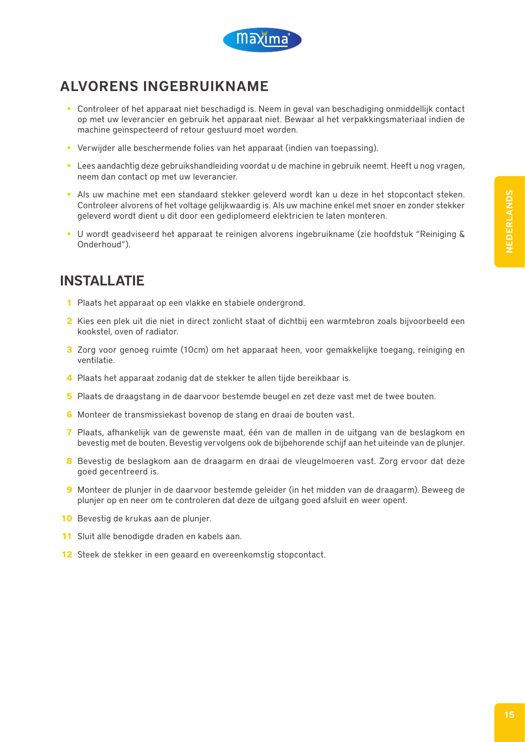

# ALVORENS INGEBRUIKNAME

- Controleer of het apparaat niet beschadigd is. Neem in geval van beschadiging onmiddellijk contact op met uw leverancier en gebruik het apparaat niet. Bewaar al het verpakkingsmateriaal indien de machine geïnspecteerd of retour gestuurd moet worden.
- Verwijder alle beschermende folies van het apparaat (indien van toepassing).
- Lees aandachtig deze gebruikshandleiding voordat u de machine in gebruik neemt. Heeft u nog vragen, neem dan contact op met uw leverancier.
- Als uw machine met een standaard stekker geleverd wordt kan u deze in het stopcontact steken. Controleer alvorens of het voltage gelijkwaardig is. Als uw machine enkel met snoer en zonder stekker geleverd wordt dient u dit door een gediplomeerd elektricien te laten monteren.
- U wordt geadviseerd het apparaat te reinigen alvorens ingebruikname (zie hoofdstuk "Reiniging & Onderhoud").

### INSTALLATIE

- **1** Plaats het apparaat op een vlakke en stabiele ondergrond.
- **2** Kies een plek uit die niet in direct zonlicht staat of dichtbij een warmtebron zoals bijvoorbeeld een kookstel, oven of radiator.
- **3** Zorg voor genoeg ruimte (10cm) om het apparaat heen, voor gemakkelijke toegang, reiniging en ventilatie.
- **4** Plaats het apparaat zodanig dat de stekker te allen tijde bereikbaar is.
- **5** Plaats de draagstang in de daarvoor bestemde beugel en zet deze vast met de twee bouten.
- **6** Monteer de transmissiekast bovenop de stang en draai de bouten vast.
- **7** Plaats, afhankelijk van de gewenste maat, één van de mallen in de uitgang van de beslagkom en bevestig met de bouten. Bevestig vervolgens ook de bijbehorende schijf aan het uiteinde van de plunjer.
- **8** Bevestig de beslagkom aan de draagarm en draai de vleugelmoeren vast. Zorg ervoor dat deze goed gecentreerd is.
- **9** Monteer de plunjer in de daarvoor bestemde geleider (in het midden van de draagarm). Beweeg de plunjer op en neer om te controleren dat deze de uitgang goed afsluit en weer opent.
- **10** Bevestig de krukas aan de plunjer.
- **11** Sluit alle benodigde draden en kabels aan.
- **12** Steek de stekker in een geaard en overeenkomstig stopcontact.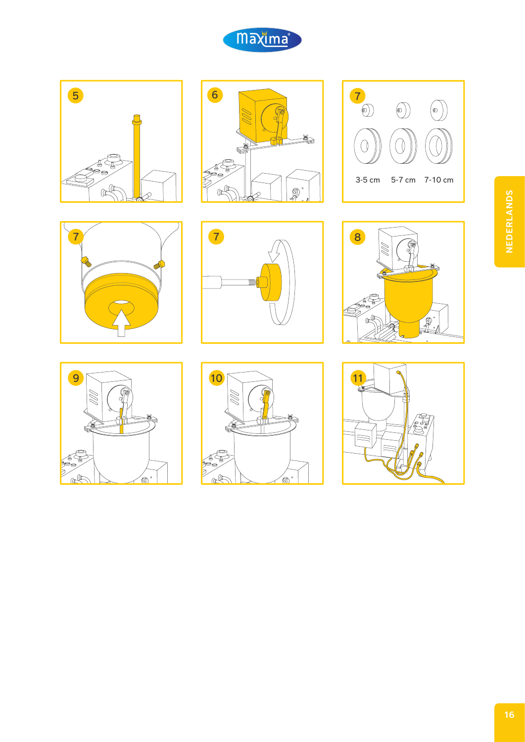

















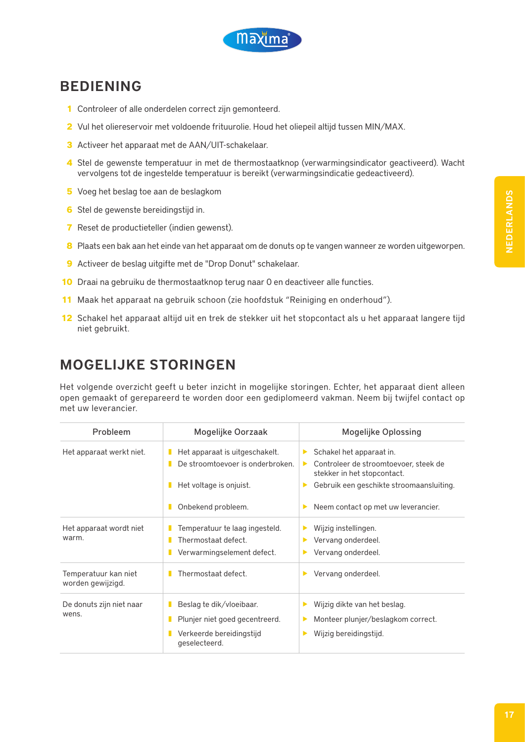

### BEDIENING

- **1** Controleer of alle onderdelen correct zijn gemonteerd.
- **2** Vul het oliereservoir met voldoende frituurolie. Houd het oliepeil altijd tussen MIN/MAX.
- **3** Activeer het apparaat met de AAN/UIT-schakelaar.
- **4** Stel de gewenste temperatuur in met de thermostaatknop (verwarmingsindicator geactiveerd). Wacht vervolgens tot de ingestelde temperatuur is bereikt (verwarmingsindicatie gedeactiveerd).
- **5** Voeg het beslag toe aan de beslagkom
- **6** Stel de gewenste bereidingstijd in.
- **7** Reset de productieteller (indien gewenst).
- **8** Plaats een bak aan het einde van het apparaat om de donuts op te vangen wanneer ze worden uitgeworpen.
- **9** Activeer de beslag uitgifte met de "Drop Donut" schakelaar.
- **10** Draai na gebruiku de thermostaatknop terug naar 0 en deactiveer alle functies.
- **11** Maak het apparaat na gebruik schoon (zie hoofdstuk "Reiniging en onderhoud").
- **12** Schakel het apparaat altijd uit en trek de stekker uit het stopcontact als u het apparaat langere tijd niet gebruikt.

# MOGELIJKE STORINGEN

Het volgende overzicht geeft u beter inzicht in mogelijke storingen. Echter, het apparaat dient alleen open gemaakt of gerepareerd te worden door een gediplomeerd vakman. Neem bij twijfel contact op met uw leverancier.

| Probleem                                  | Mogelijke Oorzaak                                                                                            | <b>Mogelijke Oplossing</b>                                                                                                                                                                          |  |
|-------------------------------------------|--------------------------------------------------------------------------------------------------------------|-----------------------------------------------------------------------------------------------------------------------------------------------------------------------------------------------------|--|
| Het apparaat werkt niet.                  | Het apparaat is uitgeschakelt.<br>п<br>De stroomtoevoer is onderbroken.<br>п<br>Het voltage is onjuist.<br>п | Schakel het apparaat in.<br>$\blacktriangleright$<br>Controleer de stroomtoevoer, steek de<br>$\blacktriangleright$<br>stekker in het stopcontact.<br>Gebruik een geschikte stroomaansluiting.<br>▶ |  |
|                                           | Onbekend probleem.                                                                                           | Neem contact op met uw leverancier.<br>▶                                                                                                                                                            |  |
| Het apparaat wordt niet<br>warm.          | Temperatuur te laag ingesteld.<br>Thermostaat defect.<br>п<br>Verwarmingselement defect.                     | Wijzig instellingen.<br>▶<br>Vervang onderdeel.<br>▶<br>Vervang onderdeel.                                                                                                                          |  |
| Temperatuur kan niet<br>worden gewijzigd. | Thermostaat defect.                                                                                          | Vervang onderdeel.                                                                                                                                                                                  |  |
| De donuts zijn niet naar<br>wens.         | Beslag te dik/vloeibaar.<br>Plunjer niet goed gecentreerd.<br>Verkeerde bereidingstijd<br>geselecteerd.      | Wijzig dikte van het beslag.<br>▶<br>Monteer plunjer/beslagkom correct.<br>▶<br>Wijzig bereidingstijd.<br>▶                                                                                         |  |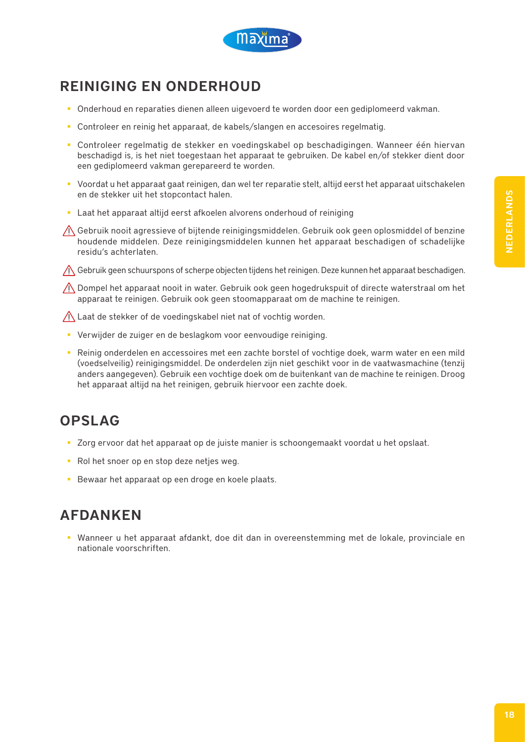

# REINIGING EN ONDERHOUD

- **Onderhoud en reparaties dienen alleen uigevoerd te worden door een gediplomeerd vakman.**
- **Controleer en reinig het apparaat, de kabels/slangen en accesoires regelmatig.**
- Controleer regelmatig de stekker en voedingskabel op beschadigingen. Wanneer één hiervan beschadigd is, is het niet toegestaan het apparaat te gebruiken. De kabel en/of stekker dient door een gediplomeerd vakman gerepareerd te worden.
- Voordat u het apparaat gaat reinigen, dan wel ter reparatie stelt, altijd eerst het apparaat uitschakelen en de stekker uit het stopcontact halen.
- Laat het apparaat altijd eerst afkoelen alvorens onderhoud of reiniging
- Gebruik nooit agressieve of bijtende reinigingsmiddelen. Gebruik ook geen oplosmiddel of benzine houdende middelen. Deze reinigingsmiddelen kunnen het apparaat beschadigen of schadelijke residu's achterlaten.

 $\Lambda$  Gebruik geen schuurspons of scherpe objecten tijdens het reinigen. Deze kunnen het apparaat beschadigen.

 $\bigwedge$  Dompel het apparaat nooit in water. Gebruik ook geen hogedrukspuit of directe waterstraal om het apparaat te reinigen. Gebruik ook geen stoomapparaat om de machine te reinigen.

 $\bigwedge$  Laat de stekker of de voedingskabel niet nat of vochtig worden.

- Verwijder de zuiger en de beslagkom voor eenvoudige reiniging.
- Reinig onderdelen en accessoires met een zachte borstel of vochtige doek, warm water en een mild (voedselveilig) reinigingsmiddel. De onderdelen zijn niet geschikt voor in de vaatwasmachine (tenzij anders aangegeven). Gebruik een vochtige doek om de buitenkant van de machine te reinigen. Droog het apparaat altijd na het reinigen, gebruik hiervoor een zachte doek.

# OPSLAG

- Zorg ervoor dat het apparaat op de juiste manier is schoongemaakt voordat u het opslaat.
- Rol het snoer op en stop deze netjes weg.
- Bewaar het apparaat op een droge en koele plaats.

### AFDANKEN

 Wanneer u het apparaat afdankt, doe dit dan in overeenstemming met de lokale, provinciale en nationale voorschriften.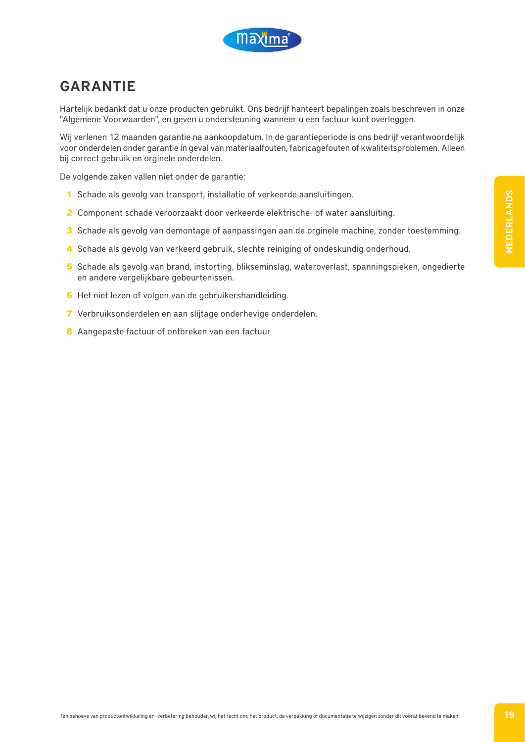

### GARANTIE

Hartelijk bedankt dat u onze producten gebruikt. Ons bedrijf hanteert bepalingen zoals beschreven in onze "Algemene Voorwaarden", en geven u ondersteuning wanneer u een factuur kunt overleggen.

Wij verlenen 12 maanden garantie na aankoopdatum. In de garantieperiode is ons bedrijf verantwoordelijk voor onderdelen onder garantie in geval van materiaalfouten, fabricagefouten of kwaliteitsproblemen. Alleen bij correct gebruik en orginele onderdelen.

De volgende zaken vallen niet onder de garantie:

- **1** Schade als gevolg van transport, installatie of verkeerde aansluitingen.
- **2** Component schade veroorzaakt door verkeerde elektrische- of water aansluiting.
- **3** Schade als gevolg van demontage of aanpassingen aan de orginele machine, zonder toestemming.
- **4** Schade als gevolg van verkeerd gebruik, slechte reiniging of ondeskundig onderhoud.
- **5** Schade als gevolg van brand, instorting, blikseminslag, wateroverlast, spanningspieken, ongedierte en andere vergelijkbare gebeurtenissen.
- **6** Het niet lezen of volgen van de gebruikershandleiding.
- **7** Verbruiksonderdelen en aan slijtage onderhevige onderdelen.
- **8** Aangepaste factuur of ontbreken van een factuur.